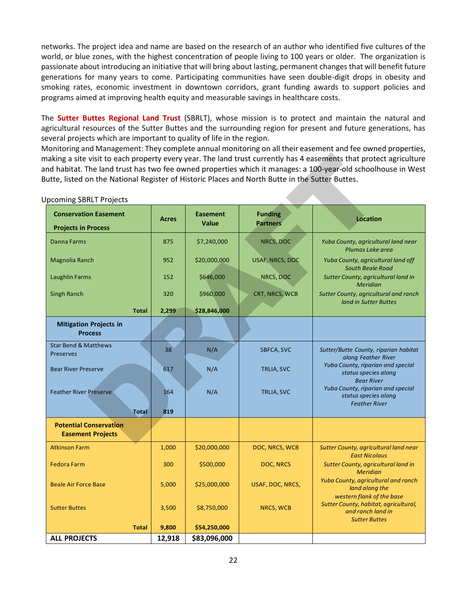networks. The project idea and name are based on the research of an author who identified five cultures of the world, or blue zones, with the highest concentration of people living to 100 years or older. The organization is passionate about introducing an initiative that will bring about lasting, permanent changes that will benefit future generations for many years to come. Participating communities have seen double-digit drops in obesity and smoking rates, economic investment in downtown corridors, grant funding awards to support policies and programs aimed at improving health equity and measurable savings in healthcare costs.

The **Sutter Buttes Regional Land Trust** (SBRLT), whose mission is to protect and maintain the natural and agricultural resources of the Sutter Buttes and the surrounding region for present and future generations, has several projects which are important to quality of life in the region.

Monitoring and Management: They complete annual monitoring on all their easement and fee owned properties, making a site visit to each property every year. The land trust currently has 4 easements that protect agriculture and habitat. The land trust has two fee owned properties which it manages: a 100-year-old schoolhouse in West Butte, listed on the National Register of Historic Places and North Butte in the Sutter Buttes.

| Jutte, listed on the National Register of Historic Places and North Butte in the Sutter Buttes. |              |                                 |                                   | naking a site visit to each property every year. The land trust currently has 4 easements that protect agriculture<br>nd habitat. The land trust has two fee owned properties which it manages: a 100-year-old schoolhouse in West |
|-------------------------------------------------------------------------------------------------|--------------|---------------------------------|-----------------------------------|------------------------------------------------------------------------------------------------------------------------------------------------------------------------------------------------------------------------------------|
| <b>Jpcoming SBRLT Projects</b>                                                                  |              |                                 |                                   |                                                                                                                                                                                                                                    |
| <b>Conservation Easement</b><br><b>Projects in Process</b>                                      | <b>Acres</b> | <b>Easement</b><br><b>Value</b> | <b>Funding</b><br><b>Partners</b> | <b>Location</b>                                                                                                                                                                                                                    |
| Danna Farms                                                                                     | 875          | \$7,240,000                     | NRCS, DOC                         | Yuba County, agricultural land near<br>Plumas Lake area                                                                                                                                                                            |
| Magnolia Ranch                                                                                  | 952          | \$20,000,000                    | <b>USAF, NRCS, DOC</b>            | Yuba County, agricultural land off<br><b>South Beale Road</b>                                                                                                                                                                      |
| <b>Laughlin Farms</b>                                                                           | 152          | \$646,000                       | NRCS, DOC                         | Sutter County, agricultural land in<br><b>Meridian</b>                                                                                                                                                                             |
| <b>Singh Ranch</b>                                                                              | 320          | \$960,000                       | CRT, NRCS, WCB                    | Sutter County, agricultural and ranch<br>land in Sutter Buttes                                                                                                                                                                     |
| <b>Total</b>                                                                                    | 2,299        | \$28,846,000                    |                                   |                                                                                                                                                                                                                                    |
| <b>Mitigation Projects in</b><br><b>Process</b>                                                 |              |                                 |                                   |                                                                                                                                                                                                                                    |
| <b>Star Bend &amp; Matthews</b><br><b>Preserves</b>                                             | 38           | N/A                             | SBFCA, SVC                        | Sutter/Butte County, riparian habitat<br>along Feather River                                                                                                                                                                       |
| <b>Bear River Preserve</b>                                                                      | 617          | N/A                             | <b>TRLIA, SVC</b>                 | Yuba County, riparian and special<br>status species along<br><b>Bear River</b>                                                                                                                                                     |
| <b>Feather River Preserve</b>                                                                   | 164          | N/A                             | <b>TRLIA, SVC</b>                 | Yuba County, riparian and special<br>status species along<br><b>Feather River</b>                                                                                                                                                  |
| Total                                                                                           | 819          |                                 |                                   |                                                                                                                                                                                                                                    |
| <b>Potential Conservation</b><br><b>Easement Projects</b>                                       |              |                                 |                                   |                                                                                                                                                                                                                                    |
| <b>Atkinson Farm</b>                                                                            | 1,000        | \$20,000,000                    | DOC, NRCS, WCB                    | Sutter County, agricultural land near<br><b>East Nicolaus</b>                                                                                                                                                                      |
| <b>Fedora Farm</b>                                                                              | 300          | \$500,000                       | DOC, NRCS                         | Sutter County, agricultural land in<br><b>Meridian</b>                                                                                                                                                                             |
| <b>Beale Air Force Base</b>                                                                     | 5,000        | \$25,000,000                    | USAF, DOC, NRCS,                  | Yuba County, agricultural and ranch<br>land along the<br>western flank of the base                                                                                                                                                 |
| <b>Sutter Buttes</b>                                                                            | 3,500        | \$8,750,000                     | NRCS, WCB                         | Sutter County, habitat, agricultural,<br>and ranch land in                                                                                                                                                                         |
| <b>Total</b>                                                                                    | 9,800        | \$54,250,000                    |                                   | <b>Sutter Buttes</b>                                                                                                                                                                                                               |
| <b>ALL PROJECTS</b>                                                                             | 12,918       | \$83,096,000                    |                                   |                                                                                                                                                                                                                                    |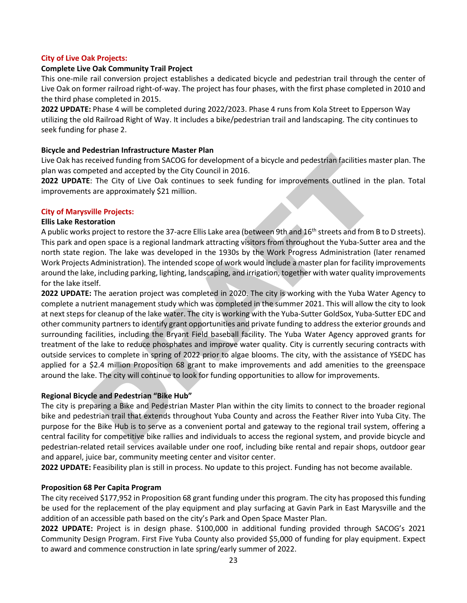### **City of Live Oak Projects:**

#### **Complete Live Oak Community Trail Project**

This one‐mile rail conversion project establishes a dedicated bicycle and pedestrian trail through the center of Live Oak on former railroad right‐of‐way. The project has four phases, with the first phase completed in 2010 and the third phase completed in 2015.

**2022 UPDATE:** Phase 4 will be completed during 2022/2023. Phase 4 runs from Kola Street to Epperson Way utilizing the old Railroad Right of Way. It includes a bike/pedestrian trail and landscaping. The city continues to seek funding for phase 2.

### **Bicycle and Pedestrian Infrastructure Master Plan**

Live Oak has received funding from SACOG for development of a bicycle and pedestrian facilities master plan. The plan was competed and accepted by the City Council in 2016.

**2022 UPDATE**: The City of Live Oak continues to seek funding for improvements outlined in the plan. Total improvements are approximately \$21 million.

#### **City of Marysville Projects:**

#### **Ellis Lake Restoration**

A public works project to restore the 37-acre Ellis Lake area (between 9th and 16<sup>th</sup> streets and from B to D streets). This park and open space is a regional landmark attracting visitors from throughout the Yuba‐Sutter area and the north state region. The lake was developed in the 1930s by the Work Progress Administration (later renamed Work Projects Administration). The intended scope of work would include a master plan for facility improvements around the lake, including parking, lighting, landscaping, and irrigation, together with water quality improvements for the lake itself.

**2022 UPDATE:** The aeration project was completed in 2020. The city is working with the Yuba Water Agency to complete a nutrient management study which was completed in the summer 2021. This will allow the city to look at next steps for cleanup of the lake water. The city is working with the Yuba-Sutter GoldSox, Yuba-Sutter EDC and other community partners to identify grant opportunities and private funding to address the exterior grounds and surrounding facilities, including the Bryant Field baseball facility. The Yuba Water Agency approved grants for treatment of the lake to reduce phosphates and improve water quality. City is currently securing contracts with outside services to complete in spring of 2022 prior to algae blooms. The city, with the assistance of YSEDC has applied for a \$2.4 million Proposition 68 grant to make improvements and add amenities to the greenspace around the lake. The city will continue to look for funding opportunities to allow for improvements. eceived funding from SACOG for development of a bicycle and pedestrian facilities ma<br>
pede and accepted by the City Council in 2016.<br>
E: The City of Live Oak continues to seek funding for improvements outlined in th<br>
sare

### **Regional Bicycle and Pedestrian "Bike Hub"**

The city is preparing a Bike and Pedestrian Master Plan within the city limits to connect to the broader regional bike and pedestrian trail that extends throughout Yuba County and across the Feather River into Yuba City. The purpose for the Bike Hub is to serve as a convenient portal and gateway to the regional trail system, offering a central facility for competitive bike rallies and individuals to access the regional system, and provide bicycle and pedestrian-related retail services available under one roof, including bike rental and repair shops, outdoor gear and apparel, juice bar, community meeting center and visitor center.

**2022 UPDATE:** Feasibility plan is still in process. No update to this project. Funding has not become available.

### **Proposition 68 Per Capita Program**

The city received \$177,952 in Proposition 68 grant funding under this program. The city has proposed this funding be used for the replacement of the play equipment and play surfacing at Gavin Park in East Marysville and the addition of an accessible path based on the city's Park and Open Space Master Plan.

**2022 UPDATE:** Project is in design phase. \$100,000 in additional funding provided through SACOG's 2021 Community Design Program. First Five Yuba County also provided \$5,000 of funding for play equipment. Expect to award and commence construction in late spring/early summer of 2022.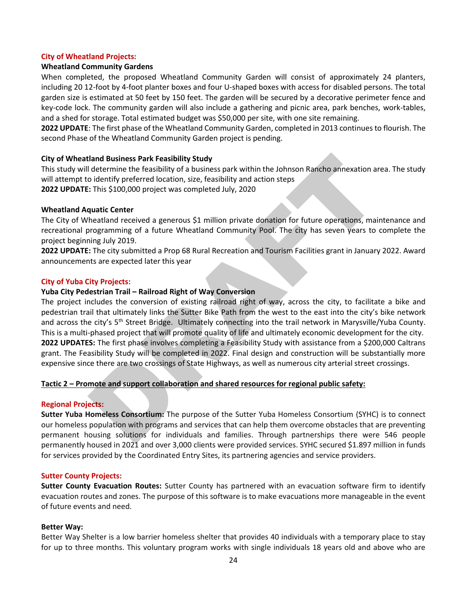#### **City of Wheatland Projects:**

#### **Wheatland Community Gardens**

When completed, the proposed Wheatland Community Garden will consist of approximately 24 planters, including 20 12‐foot by 4‐foot planter boxes and four U‐shaped boxes with access for disabled persons. The total garden size is estimated at 50 feet by 150 feet. The garden will be secured by a decorative perimeter fence and key‐code lock. The community garden will also include a gathering and picnic area, park benches, work-tables, and a shed for storage. Total estimated budget was \$50,000 per site, with one site remaining.

**2022 UPDATE**: The first phase of the Wheatland Community Garden, completed in 2013 continues to flourish. The second Phase of the Wheatland Community Garden project is pending.

#### **City of Wheatland Business Park Feasibility Study**

This study will determine the feasibility of a business park within the Johnson Rancho annexation area. The study will attempt to identify preferred location, size, feasibility and action steps **2022 UPDATE:** This \$100,000 project was completed July, 2020

#### **Wheatland Aquatic Center**

The City of Wheatland received a generous \$1 million private donation for future operations, maintenance and recreational programming of a future Wheatland Community Pool. The city has seven years to complete the project beginning July 2019.

**2022 UPDATE:** The city submitted a Prop 68 Rural Recreation and Tourism Facilities grant in January 2022. Award announcements are expected later this year

#### **City of Yuba City Projects:**

#### **Yuba City Pedestrian Trail – Railroad Right of Way Conversion**

The project includes the conversion of existing railroad right of way, across the city, to facilitate a bike and pedestrian trail that ultimately links the Sutter Bike Path from the west to the east into the city's bike network and across the city's 5<sup>th</sup> Street Bridge. Ultimately connecting into the trail network in Marysville/Yuba County. This is a multi-phased project that will promote quality of life and ultimately economic development for the city. **2022 UPDATES:** The first phase involves completing a Feasibility Study with assistance from a \$200,000 Caltrans grant. The Feasibility Study will be completed in 2022. Final design and construction will be substantially more expensive since there are two crossings of State Highways, as well as numerous city arterial street crossings. dand Business Park Feasibility Study<br>
determine the feasibility of a business park within the Johnson Rancho annexation an<br>
determine the feasibility of a business park within the Johnson Rancho annexation are<br>
dietermine

#### **Tactic 2 – Promote and support collaboration and shared resources for regional public safety:**

#### **Regional Projects:**

**Sutter Yuba Homeless Consortium:** The purpose of the Sutter Yuba Homeless Consortium (SYHC) is to connect our homeless population with programs and services that can help them overcome obstacles that are preventing permanent housing solutions for individuals and families. Through partnerships there were 546 people permanently housed in 2021 and over 3,000 clients were provided services. SYHC secured \$1.897 million in funds for services provided by the Coordinated Entry Sites, its partnering agencies and service providers.

#### **Sutter County Projects:**

**Sutter County Evacuation Routes:** Sutter County has partnered with an evacuation software firm to identify evacuation routes and zones. The purpose of this software is to make evacuations more manageable in the event of future events and need.

#### **Better Way:**

Better Way Shelter is a low barrier homeless shelter that provides 40 individuals with a temporary place to stay for up to three months. This voluntary program works with single individuals 18 years old and above who are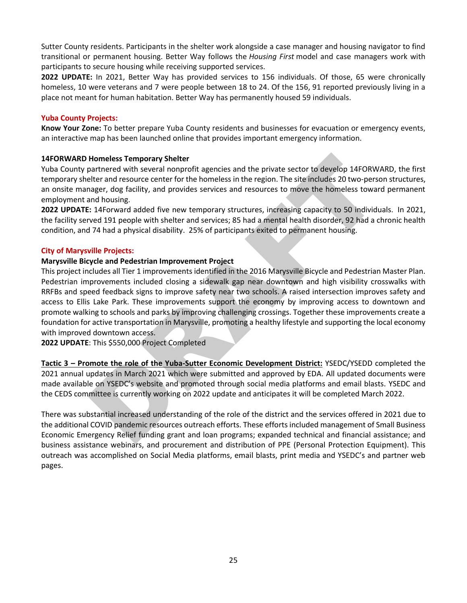Sutter County residents. Participants in the shelter work alongside a case manager and housing navigator to find transitional or permanent housing. Better Way follows the *Housing First* model and case managers work with participants to secure housing while receiving supported services.

**2022 UPDATE:** In 2021, Better Way has provided services to 156 individuals. Of those, 65 were chronically homeless, 10 were veterans and 7 were people between 18 to 24. Of the 156, 91 reported previously living in a place not meant for human habitation. Better Way has permanently housed 59 individuals.

### **Yuba County Projects:**

**Know Your Zone:** To better prepare Yuba County residents and businesses for evacuation or emergency events, an interactive map has been launched online that provides important emergency information.

### **14FORWARD Homeless Temporary Shelter**

Yuba County partnered with several nonprofit agencies and the private sector to develop 14FORWARD, the first temporary shelter and resource center for the homeless in the region. The site includes 20 two-person structures, an onsite manager, dog facility, and provides services and resources to move the homeless toward permanent employment and housing.

**2022 UPDATE:** 14Forward added five new temporary structures, increasing capacity to 50 individuals. In 2021, the facility served 191 people with shelter and services; 85 had a mental health disorder, 92 had a chronic health condition, and 74 had a physical disability. 25% of participants exited to permanent housing.

### **City of Marysville Projects:**

### **Marysville Bicycle and Pedestrian Improvement Project**

This project includes all Tier 1 improvements identified in the 2016 Marysville Bicycle and Pedestrian Master Plan. Pedestrian improvements included closing a sidewalk gap near downtown and high visibility crosswalks with RRFBs and speed feedback signs to improve safety near two schools. A raised intersection improves safety and access to Ellis Lake Park. These improvements support the economy by improving access to downtown and promote walking to schools and parks by improving challenging crossings. Together these improvements create a foundation for active transportation in Marysville, promoting a healthy lifestyle and supporting the local economy with improved downtown access. **Homeless Temporary Shelter**<br> **Homeless Temporary Shelter**<br> **Draptioned with several nonprofit agencies and the private sector to develop 14FORW<br>
Deter and resource center for the homeless in the region. The site includes** 

**2022 UPDATE**: This \$550,000 Project Completed

**Tactic 3 – Promote the role of the Yuba-Sutter Economic Development District:** YSEDC/YSEDD completed the 2021 annual updates in March 2021 which were submitted and approved by EDA. All updated documents were made available on YSEDC's website and promoted through social media platforms and email blasts. YSEDC and the CEDS committee is currently working on 2022 update and anticipates it will be completed March 2022.

There was substantial increased understanding of the role of the district and the services offered in 2021 due to the additional COVID pandemic resources outreach efforts. These efforts included management of Small Business Economic Emergency Relief funding grant and loan programs; expanded technical and financial assistance; and business assistance webinars, and procurement and distribution of PPE (Personal Protection Equipment). This outreach was accomplished on Social Media platforms, email blasts, print media and YSEDC's and partner web pages.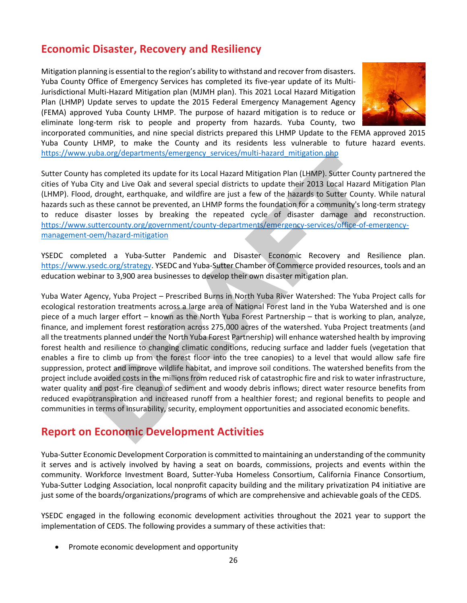# **Economic Disaster, Recovery and Resiliency**

Mitigation planning is essential to the region's ability to withstand and recover from disasters. Yuba County Office of Emergency Services has completed its five-year update of its Multi-Jurisdictional Multi-Hazard Mitigation plan (MJMH plan). This 2021 Local Hazard Mitigation Plan (LHMP) Update serves to update the 2015 Federal Emergency Management Agency (FEMA) approved Yuba County LHMP. The purpose of hazard mitigation is to reduce or eliminate long-term risk to people and property from hazards. Yuba County, two



incorporated communities, and nine special districts prepared this LHMP Update to the FEMA approved 2015 Yuba County LHMP, to make the County and its residents less vulnerable to future hazard events. [https://www.yuba.org/departments/emergency\\_services/multi-hazard\\_mitigation.php](https://www.yuba.org/departments/emergency_services/multi-hazard_mitigation.php)

Sutter County has completed its update for its Local Hazard Mitigation Plan (LHMP). Sutter County partnered the cities of Yuba City and Live Oak and several special districts to update their 2013 Local Hazard Mitigation Plan (LHMP). Flood, drought, earthquake, and wildfire are just a few of the hazards to Sutter County. While natural hazards such as these cannot be prevented, an LHMP forms the foundation for a community's long-term strategy to reduce disaster losses by breaking the repeated cycle of disaster damage and reconstruction. https://www.suttercounty.org/government/county-departments/emergency-services/office-of-emergency[management-oem/hazard-mitigation](https://www.suttercounty.org/government/county-departments/emergency-services/office-of-emergency-management-oem/hazard-mitigation)

YSEDC completed a Yuba-Sutter Pandemic and Disaster Economic Recovery and Resilience plan. [https://www.ysedc.org/strategy.](https://www.ysedc.org/strategy) YSEDC and Yuba-Sutter Chamber of Commerce provided resources, tools and an education webinar to 3,900 area businesses to develop their own disaster mitigation plan.

Yuba Water Agency, Yuba Project – Prescribed Burns in North Yuba River Watershed: The Yuba Project calls for ecological restoration treatments across a large area of National Forest land in the Yuba Watershed and is one piece of a much larger effort – known as the North Yuba Forest Partnership – that is working to plan, analyze, finance, and implement forest restoration across 275,000 acres of the watershed. Yuba Project treatments (and all the treatments planned under the North Yuba Forest Partnership) will enhance watershed health by improving forest health and resilience to changing climatic conditions, reducing surface and ladder fuels (vegetation that enables a fire to climb up from the forest floor into the tree canopies) to a level that would allow safe fire suppression, protect and improve wildlife habitat, and improve soil conditions. The watershed benefits from the project include avoided costs in the millions from reduced risk of catastrophic fire and risk to water infrastructure, water quality and post-fire cleanup of sediment and woody debris inflows; direct water resource benefits from reduced evapotranspiration and increased runoff from a healthier forest; and regional benefits to people and communities in terms of insurability, security, employment opportunities and associated economic benefits. Vola.org/departments/emergency-services/multi-hazard-mulgation.pmp<br>has completed its update for its local Hazard Mitigation Plan (LHMP). Sutter Countty, City and Live Oak and several special districts to update their 2013

# **Report on Economic Development Activities**

Yuba-Sutter Economic Development Corporation is committed to maintaining an understanding of the community it serves and is actively involved by having a seat on boards, commissions, projects and events within the community. Workforce Investment Board, Sutter-Yuba Homeless Consortium, California Finance Consortium, Yuba-Sutter Lodging Association, local nonprofit capacity building and the military privatization P4 initiative are just some of the boards/organizations/programs of which are comprehensive and achievable goals of the CEDS.

YSEDC engaged in the following economic development activities throughout the 2021 year to support the implementation of CEDS. The following provides a summary of these activities that:

• Promote economic development and opportunity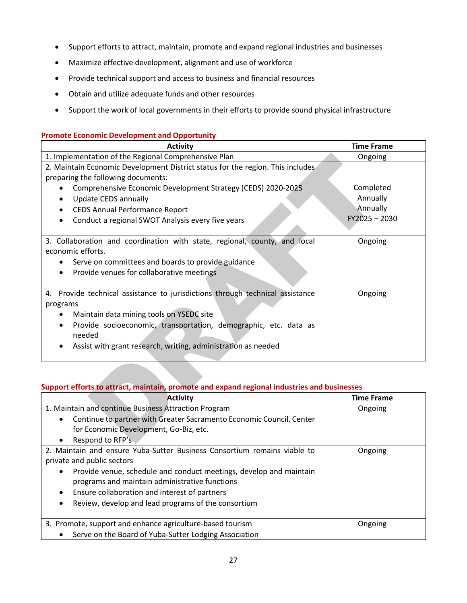- Support efforts to attract, maintain, promote and expand regional industries and businesses
- Maximize effective development, alignment and use of workforce
- Provide technical support and access to business and financial resources
- Obtain and utilize adequate funds and other resources
- Support the work of local governments in their efforts to provide sound physical infrastructure

#### **Promote Economic Development and Opportunity**

| <b>Activity</b>                                                                                                                                                                                                                                                                                   | <b>Time Frame</b>                                               |
|---------------------------------------------------------------------------------------------------------------------------------------------------------------------------------------------------------------------------------------------------------------------------------------------------|-----------------------------------------------------------------|
| 1. Implementation of the Regional Comprehensive Plan                                                                                                                                                                                                                                              | Ongoing                                                         |
| 2. Maintain Economic Development District status for the region. This includes<br>preparing the following documents:                                                                                                                                                                              |                                                                 |
| Comprehensive Economic Development Strategy (CEDS) 2020-2025<br><b>Update CEDS annually</b><br><b>CEDS Annual Performance Report</b><br>Conduct a regional SWOT Analysis every five years<br>3. Collaboration and coordination with state, regional, county, and local<br>economic efforts.       | Completed<br>Annually<br>Annually<br>$FY2025 - 2030$<br>Ongoing |
| Serve on committees and boards to provide guidance<br>Provide venues for collaborative meetings<br>٠                                                                                                                                                                                              |                                                                 |
| 4. Provide technical assistance to jurisdictions through technical assistance<br>programs<br>Maintain data mining tools on YSEDC site<br>Provide socioeconomic, transportation, demographic, etc. data as<br>$\bullet$<br>needed<br>Assist with grant research, writing, administration as needed | Ongoing                                                         |
| Support efforts to attract, maintain, promote and expand regional industries and businesses                                                                                                                                                                                                       |                                                                 |
| <b>Activity</b>                                                                                                                                                                                                                                                                                   | <b>Time Frame</b>                                               |
| 1. Maintain and continue Business Attraction Program<br>Continue to partner with Greater Sacramento Economic Council, Center<br>$\bullet$<br>for Economic Development, Go-Biz, etc.<br>Respond to RFP's                                                                                           | Ongoing                                                         |

### **Support efforts to attract, maintain, promote and expand regional industries and businesses**

| <b>Activity</b>                                                                   | <b>Time Frame</b> |
|-----------------------------------------------------------------------------------|-------------------|
| 1. Maintain and continue Business Attraction Program                              | Ongoing           |
| Continue to partner with Greater Sacramento Economic Council, Center<br>$\bullet$ |                   |
| for Economic Development, Go-Biz, etc.                                            |                   |
| Respond to RFP's                                                                  |                   |
| 2. Maintain and ensure Yuba-Sutter Business Consortium remains viable to          | Ongoing           |
| private and public sectors                                                        |                   |
| Provide venue, schedule and conduct meetings, develop and maintain                |                   |
| programs and maintain administrative functions                                    |                   |
| Ensure collaboration and interest of partners                                     |                   |
| Review, develop and lead programs of the consortium<br>$\bullet$                  |                   |
| 3. Promote, support and enhance agriculture-based tourism                         | Ongoing           |
| Serve on the Board of Yuba-Sutter Lodging Association                             |                   |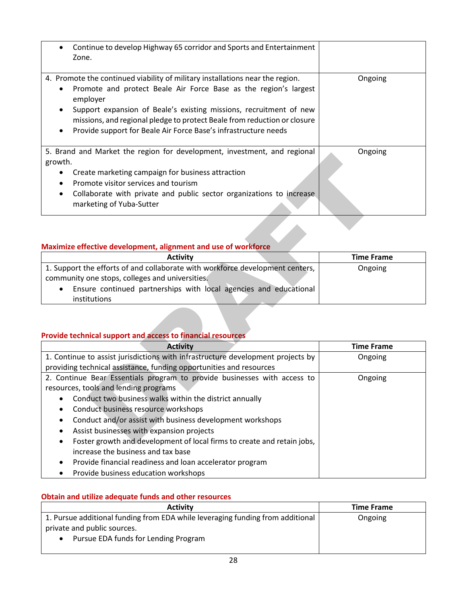| Continue to develop Highway 65 corridor and Sports and Entertainment              |         |
|-----------------------------------------------------------------------------------|---------|
| Zone.                                                                             |         |
|                                                                                   |         |
|                                                                                   |         |
| 4. Promote the continued viability of military installations near the region.     | Ongoing |
| Promote and protect Beale Air Force Base as the region's largest<br>$\bullet$     |         |
| employer                                                                          |         |
| Support expansion of Beale's existing missions, recruitment of new<br>$\bullet$   |         |
| missions, and regional pledge to protect Beale from reduction or closure          |         |
| Provide support for Beale Air Force Base's infrastructure needs<br>$\bullet$      |         |
|                                                                                   |         |
|                                                                                   |         |
| 5. Brand and Market the region for development, investment, and regional          | Ongoing |
| growth.                                                                           |         |
| Create marketing campaign for business attraction                                 |         |
| Promote visitor services and tourism                                              |         |
|                                                                                   |         |
| Collaborate with private and public sector organizations to increase<br>$\bullet$ |         |
| marketing of Yuba-Sutter                                                          |         |

## **Maximize effective development, alignment and use of workforce**

| <b>Activity</b>                                                                | <b>Time Frame</b> |
|--------------------------------------------------------------------------------|-------------------|
| 1. Support the efforts of and collaborate with workforce development centers,  | Ongoing           |
| community one stops, colleges and universities.                                |                   |
| Ensure continued partnerships with local agencies and educational<br>$\bullet$ |                   |
| <i>institutions</i>                                                            |                   |

## **Provide technical support and access to financial resources**

| <b>3. Drahu and Market the region for acvelopment, investment, and regional</b><br>growth. | UI ISUII IS       |
|--------------------------------------------------------------------------------------------|-------------------|
| Create marketing campaign for business attraction                                          |                   |
| Promote visitor services and tourism                                                       |                   |
| Collaborate with private and public sector organizations to increase                       |                   |
| marketing of Yuba-Sutter                                                                   |                   |
|                                                                                            |                   |
|                                                                                            |                   |
|                                                                                            |                   |
| Maximize effective development, alignment and use of workforce                             |                   |
| <b>Activity</b>                                                                            | <b>Time Frame</b> |
| 1. Support the efforts of and collaborate with workforce development centers,              | Ongoing           |
| community one stops, colleges and universities.                                            |                   |
| Ensure continued partnerships with local agencies and educational                          |                   |
| institutions                                                                               |                   |
|                                                                                            |                   |
|                                                                                            |                   |
| <b>Provide technical support and access to financial resources</b>                         |                   |
| <b>Activity</b>                                                                            | <b>Time Frame</b> |
| 1. Continue to assist jurisdictions with infrastructure development projects by            | Ongoing           |
| providing technical assistance, funding opportunities and resources                        |                   |
| 2. Continue Bear Essentials program to provide businesses with access to                   | Ongoing           |
| resources, tools and lending programs                                                      |                   |
| Conduct two business walks within the district annually                                    |                   |
| Conduct business resource workshops                                                        |                   |
| Conduct and/or assist with business development workshops                                  |                   |
|                                                                                            |                   |
| Assist businesses with expansion projects                                                  |                   |
| Foster growth and development of local firms to create and retain jobs,                    |                   |
| increase the business and tax base                                                         |                   |
| Provide financial readiness and loan accelerator program                                   |                   |

### **Obtain and utilize adequate funds and other resources**

| <b>Activity</b>                                                                | <b>Time Frame</b> |
|--------------------------------------------------------------------------------|-------------------|
| 1. Pursue additional funding from EDA while leveraging funding from additional | Ongoing           |
| private and public sources.                                                    |                   |
| Pursue EDA funds for Lending Program                                           |                   |
|                                                                                |                   |